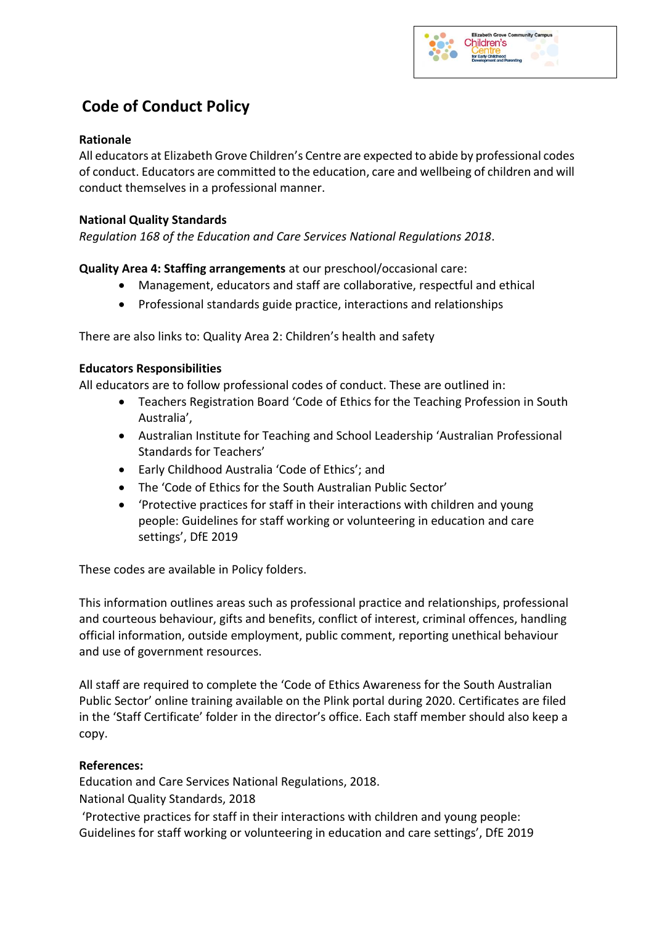# **Code of Conduct Policy**

### **Rationale**

All educators at Elizabeth Grove Children's Centre are expected to abide by professional codes of conduct. Educators are committed to the education, care and wellbeing of children and will conduct themselves in a professional manner.

## **National Quality Standards**

*Regulation 168 of the Education and Care Services National Regulations 2018*.

**Quality Area 4: Staffing arrangements** at our preschool/occasional care:

- Management, educators and staff are collaborative, respectful and ethical
- Professional standards guide practice, interactions and relationships

There are also links to: Quality Area 2: Children's health and safety

### **Educators Responsibilities**

All educators are to follow professional codes of conduct. These are outlined in:

- Teachers Registration Board 'Code of Ethics for the Teaching Profession in South Australia',
- Australian Institute for Teaching and School Leadership 'Australian Professional Standards for Teachers'
- Early Childhood Australia 'Code of Ethics'; and
- The 'Code of Ethics for the South Australian Public Sector'
- 'Protective practices for staff in their interactions with children and young people: Guidelines for staff working or volunteering in education and care settings', DfE 2019

These codes are available in Policy folders.

This information outlines areas such as professional practice and relationships, professional and courteous behaviour, gifts and benefits, conflict of interest, criminal offences, handling official information, outside employment, public comment, reporting unethical behaviour and use of government resources.

All staff are required to complete the 'Code of Ethics Awareness for the South Australian Public Sector' online training available on the Plink portal during 2020. Certificates are filed in the 'Staff Certificate' folder in the director's office. Each staff member should also keep a copy.

## **References:**

Education and Care Services National Regulations, 2018.

National Quality Standards, 2018

'Protective practices for staff in their interactions with children and young people: Guidelines for staff working or volunteering in education and care settings', DfE 2019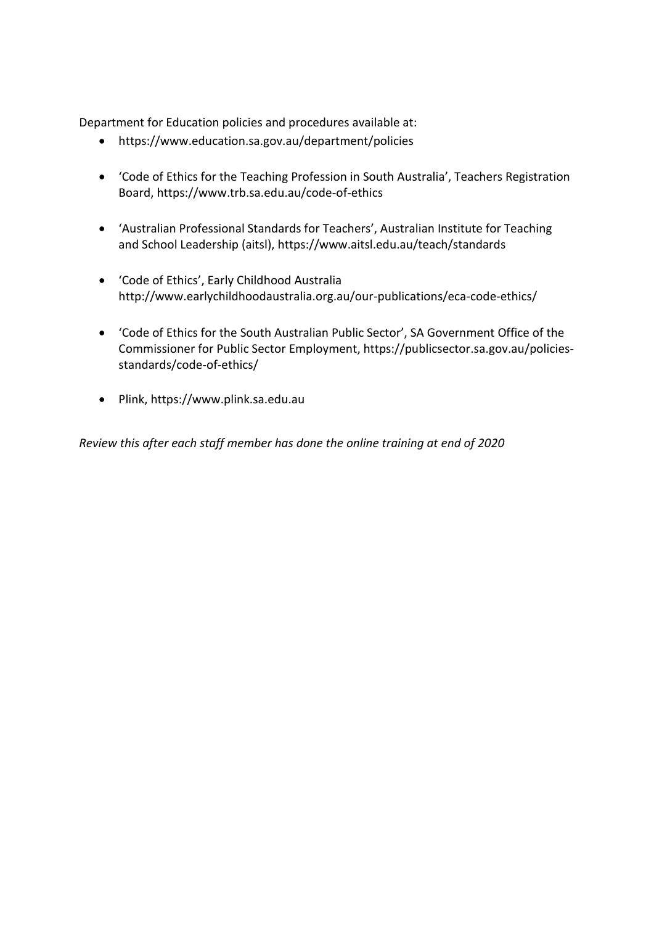Department for Education policies and procedures available at:

- https://www.education.sa.gov.au/department/policies
- 'Code of Ethics for the Teaching Profession in South Australia', Teachers Registration Board, https://www.trb.sa.edu.au/code-of-ethics
- 'Australian Professional Standards for Teachers', Australian Institute for Teaching and School Leadership (aitsl), https://www.aitsl.edu.au/teach/standards
- 'Code of Ethics', Early Childhood Australia http://www.earlychildhoodaustralia.org.au/our-publications/eca-code-ethics/
- 'Code of Ethics for the South Australian Public Sector', SA Government Office of the Commissioner for Public Sector Employment, https://publicsector.sa.gov.au/policiesstandards/code-of-ethics/
- Plink, https://www.plink.sa.edu.au

*Review this after each staff member has done the online training at end of 2020*